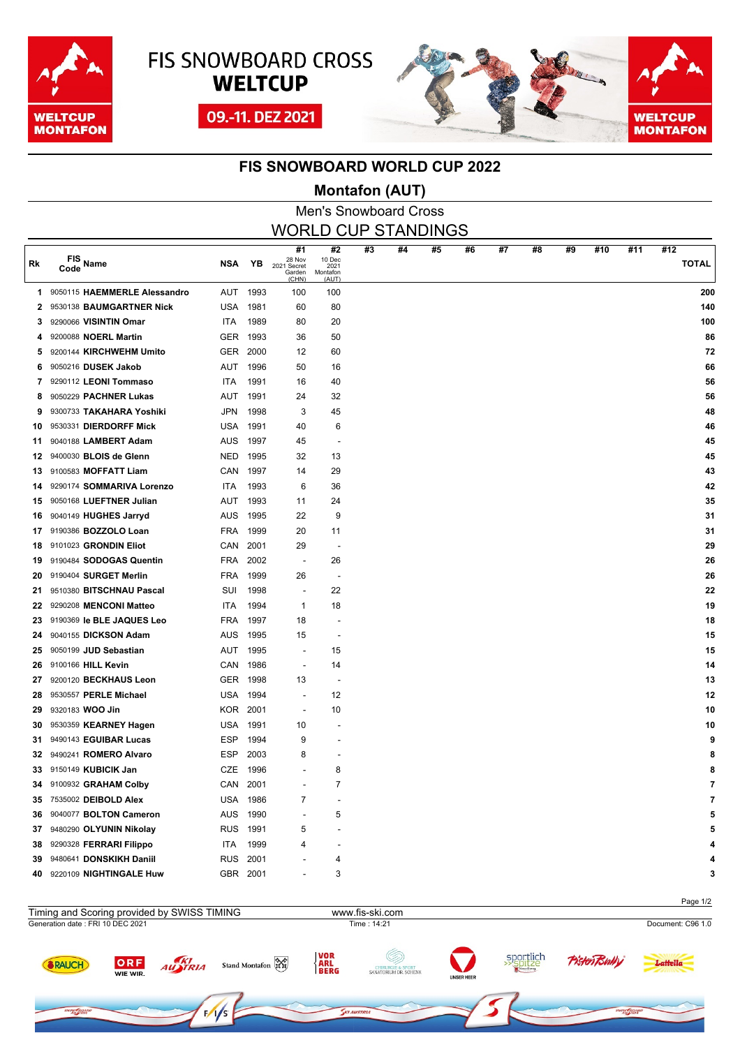

**REFROAM** 

# **FIS SNOWBOARD CROSS WELTCUP** 09.-11. DEZ 2021



### **FIS SNOWBOARD WORLD CUP 2022**

### **Montafon (AUT)**

Men's Snowboard Cross WORLD CUP STANDINGS

| Rk | FIS<br>Code Name             | <b>NSA</b> | YB   | #1<br>28 Nov<br>2021 Secret<br>Garden<br>(CHN) | #2<br>10 Dec<br>2021<br>Montafon<br>(AUT) | #3 | #4 | #5 | #6 | #7 | #8 | #9 | #10 | #11 | #12<br><b>TOTAL</b> |
|----|------------------------------|------------|------|------------------------------------------------|-------------------------------------------|----|----|----|----|----|----|----|-----|-----|---------------------|
| 1. | 9050115 HAEMMERLE Alessandro | AUT        | 1993 | 100                                            | 100                                       |    |    |    |    |    |    |    |     |     | 200                 |
| 2  | 9530138 BAUMGARTNER Nick     | USA        | 1981 | 60                                             | 80                                        |    |    |    |    |    |    |    |     |     | 140                 |
| 3  | 9290066 VISINTIN Omar        | <b>ITA</b> | 1989 | 80                                             | 20                                        |    |    |    |    |    |    |    |     |     | 100                 |
| 4  | 9200088 NOERL Martin         | <b>GER</b> | 1993 | 36                                             | 50                                        |    |    |    |    |    |    |    |     |     | 86                  |
| 5  | 9200144 KIRCHWEHM Umito      | <b>GER</b> | 2000 | 12                                             | 60                                        |    |    |    |    |    |    |    |     |     | 72                  |
| 6  | 9050216 DUSEK Jakob          | AUT        | 1996 | 50                                             | 16                                        |    |    |    |    |    |    |    |     |     | 66                  |
| 7  | 9290112 LEONI Tommaso        | <b>ITA</b> | 1991 | 16                                             | 40                                        |    |    |    |    |    |    |    |     |     | 56                  |
| 8  | 9050229 PACHNER Lukas        | AUT        | 1991 | 24                                             | 32                                        |    |    |    |    |    |    |    |     |     | 56                  |
| 9  | 9300733 TAKAHARA Yoshiki     | <b>JPN</b> | 1998 | 3                                              | 45                                        |    |    |    |    |    |    |    |     |     | 48                  |
| 10 | 9530331 DIERDORFF Mick       | <b>USA</b> | 1991 | 40                                             | 6                                         |    |    |    |    |    |    |    |     |     | 46                  |
| 11 | 9040188 LAMBERT Adam         | <b>AUS</b> | 1997 | 45                                             | $\overline{\phantom{a}}$                  |    |    |    |    |    |    |    |     |     | 45                  |
| 12 | 9400030 BLOIS de Glenn       | NED        | 1995 | 32                                             | 13                                        |    |    |    |    |    |    |    |     |     | 45                  |
| 13 | 9100583 MOFFATT Liam         | CAN        | 1997 | 14                                             | 29                                        |    |    |    |    |    |    |    |     |     | 43                  |
| 14 | 9290174 SOMMARIVA Lorenzo    | <b>ITA</b> | 1993 | 6                                              | 36                                        |    |    |    |    |    |    |    |     |     | 42                  |
| 15 | 9050168 LUEFTNER Julian      | AUT        | 1993 | 11                                             | 24                                        |    |    |    |    |    |    |    |     |     | 35                  |
| 16 | 9040149 HUGHES Jarryd        | <b>AUS</b> | 1995 | 22                                             | 9                                         |    |    |    |    |    |    |    |     |     | 31                  |
| 17 | 9190386 BOZZOLO Loan         | <b>FRA</b> | 1999 | 20                                             | 11                                        |    |    |    |    |    |    |    |     |     | 31                  |
| 18 | 9101023 GRONDIN Eliot        | CAN        | 2001 | 29                                             | $\overline{a}$                            |    |    |    |    |    |    |    |     |     | 29                  |
| 19 | 9190484 SODOGAS Quentin      | <b>FRA</b> | 2002 | ÷,                                             | 26                                        |    |    |    |    |    |    |    |     |     | 26                  |
| 20 | 9190404 SURGET Merlin        | <b>FRA</b> | 1999 | 26                                             | $\overline{\phantom{a}}$                  |    |    |    |    |    |    |    |     |     | 26                  |
| 21 | 9510380 BITSCHNAU Pascal     | SUI        | 1998 | ÷.                                             | 22                                        |    |    |    |    |    |    |    |     |     | 22                  |
| 22 | 9290208 MENCONI Matteo       | <b>ITA</b> | 1994 | $\mathbf{1}$                                   | 18                                        |    |    |    |    |    |    |    |     |     | 19                  |
| 23 | 9190369 le BLE JAQUES Leo    | <b>FRA</b> | 1997 | 18                                             |                                           |    |    |    |    |    |    |    |     |     | 18                  |
| 24 | 9040155 DICKSON Adam         | <b>AUS</b> | 1995 | 15                                             | ٠                                         |    |    |    |    |    |    |    |     |     | 15                  |
| 25 | 9050199 JUD Sebastian        | AUT        | 1995 | J.                                             | 15                                        |    |    |    |    |    |    |    |     |     | 15                  |
| 26 | 9100166 HILL Kevin           | <b>CAN</b> | 1986 | Ĩ.                                             | 14                                        |    |    |    |    |    |    |    |     |     | 14                  |
| 27 | 9200120 BECKHAUS Leon        | <b>GER</b> | 1998 | 13                                             |                                           |    |    |    |    |    |    |    |     |     | 13                  |
| 28 | 9530557 PERLE Michael        | USA        | 1994 | ÷,                                             | 12                                        |    |    |    |    |    |    |    |     |     | 12                  |
| 29 | 9320183 WOO Jin              | KOR.       | 2001 | ÷,                                             | 10                                        |    |    |    |    |    |    |    |     |     | 10                  |
| 30 | 9530359 KEARNEY Hagen        | <b>USA</b> | 1991 | 10                                             |                                           |    |    |    |    |    |    |    |     |     | 10                  |
| 31 | 9490143 EGUIBAR Lucas        | <b>ESP</b> | 1994 | 9                                              |                                           |    |    |    |    |    |    |    |     |     | 9                   |
| 32 | 9490241 ROMERO Alvaro        | <b>ESP</b> | 2003 | 8                                              |                                           |    |    |    |    |    |    |    |     |     |                     |
| 33 | 9150149 KUBICIK Jan          | CZE        | 1996 |                                                | 8                                         |    |    |    |    |    |    |    |     |     | ጸ                   |
| 34 | 9100932 GRAHAM Colby         | CAN        | 2001 |                                                | $\overline{7}$                            |    |    |    |    |    |    |    |     |     |                     |
| 35 | 7535002 DEIBOLD Alex         | <b>USA</b> | 1986 | 7                                              |                                           |    |    |    |    |    |    |    |     |     |                     |
| 36 | 9040077 BOLTON Cameron       | <b>AUS</b> | 1990 |                                                | 5                                         |    |    |    |    |    |    |    |     |     |                     |
| 37 | 9480290 OLYUNIN Nikolay      | <b>RUS</b> | 1991 | 5                                              |                                           |    |    |    |    |    |    |    |     |     |                     |
| 38 | 9290328 FERRARI Filippo      | ITA        | 1999 | 4                                              |                                           |    |    |    |    |    |    |    |     |     |                     |
| 39 | 9480641 DONSKIKH Daniil      | <b>RUS</b> | 2001 |                                                | 4                                         |    |    |    |    |    |    |    |     |     |                     |
| 40 | 9220109 NIGHTINGALE Huw      | GBR        | 2001 | ÷                                              | 3                                         |    |    |    |    |    |    |    |     |     | 3                   |